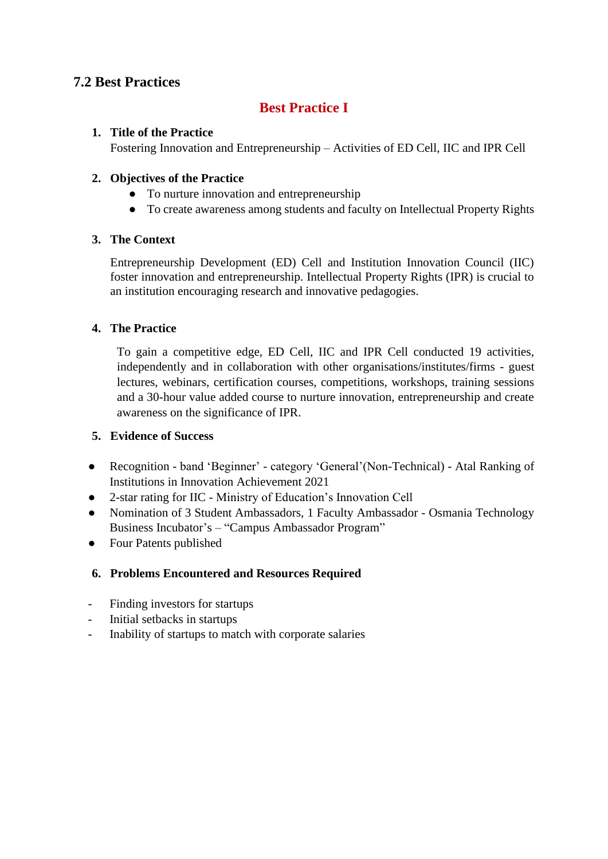# **7.2 Best Practices**

# **Best Practice I**

## **1. Title of the Practice**

Fostering Innovation and Entrepreneurship – Activities of ED Cell, IIC and IPR Cell

## **2. Objectives of the Practice**

- To nurture innovation and entrepreneurship
- To create awareness among students and faculty on Intellectual Property Rights

# **3. The Context**

Entrepreneurship Development (ED) Cell and Institution Innovation Council (IIC) foster innovation and entrepreneurship. Intellectual Property Rights (IPR) is crucial to an institution encouraging research and innovative pedagogies.

## **4. The Practice**

To gain a competitive edge, ED Cell, IIC and IPR Cell conducted 19 activities, independently and in collaboration with other organisations/institutes/firms - guest lectures, webinars, certification courses, competitions, workshops, training sessions and a 30-hour value added course to nurture innovation, entrepreneurship and create awareness on the significance of IPR.

## **5. Evidence of Success**

- Recognition band 'Beginner' category 'General'(Non-Technical) Atal Ranking of Institutions in Innovation Achievement 2021
- 2-star rating for IIC Ministry of Education's Innovation Cell
- Nomination of 3 Student Ambassadors, 1 Faculty Ambassador Osmania Technology Business Incubator's – "Campus Ambassador Program"
- Four Patents published

# **6. Problems Encountered and Resources Required**

- Finding investors for startups
- Initial setbacks in startups
- Inability of startups to match with corporate salaries